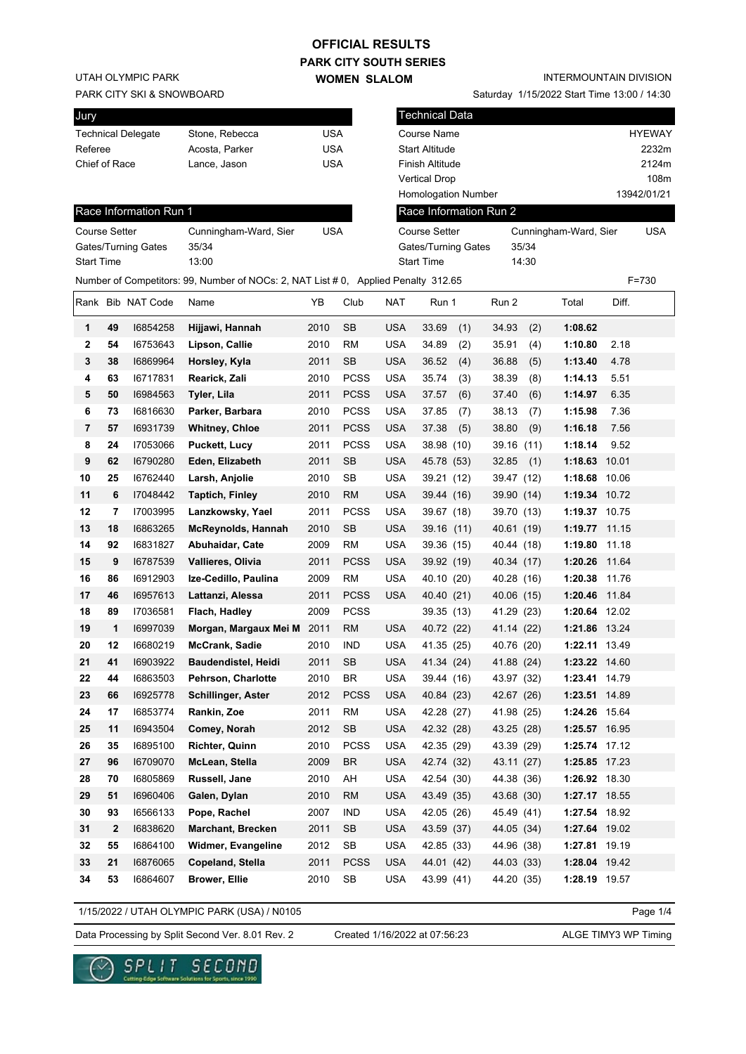## **PARK CITY SOUTH SERIES OFFICIAL RESULTS**

**WOMEN SLALOM** 

UTAH OLYMPIC PARK

PARK CITY SKI & SNOWBOARD

| Jury                      |                |     |
|---------------------------|----------------|-----|
| <b>Technical Delegate</b> | Stone, Rebecca | USA |
| Referee                   | Acosta, Parker | USA |
| Chief of Race             | Lance, Jason   | USA |
|                           |                |     |

Saturday 1/15/2022 Start Time 13:00 / 14:30

| Jury                 |    |                           |                                                                                    |            |             |            | <b>Technical Data</b>      |            |       |                       |       |               |
|----------------------|----|---------------------------|------------------------------------------------------------------------------------|------------|-------------|------------|----------------------------|------------|-------|-----------------------|-------|---------------|
|                      |    | <b>Technical Delegate</b> | Stone, Rebecca                                                                     | <b>USA</b> |             |            | Course Name                |            |       |                       |       | <b>HYEWAY</b> |
| Referee              |    |                           | Acosta, Parker                                                                     | <b>USA</b> |             |            | <b>Start Altitude</b>      |            |       |                       |       | 2232m         |
| Chief of Race        |    |                           | Lance, Jason                                                                       | <b>USA</b> |             |            | Finish Altitude            |            |       |                       |       | 2124m         |
|                      |    |                           |                                                                                    |            |             |            | <b>Vertical Drop</b>       |            |       |                       |       | 108m          |
|                      |    |                           |                                                                                    |            |             |            | <b>Homologation Number</b> |            |       |                       |       | 13942/01/21   |
|                      |    | Race Information Run 1    |                                                                                    |            |             |            | Race Information Run 2     |            |       |                       |       |               |
| <b>Course Setter</b> |    |                           | Cunningham-Ward, Sier                                                              | <b>USA</b> |             |            | <b>Course Setter</b>       |            |       | Cunningham-Ward, Sier |       | USA           |
|                      |    | Gates/Turning Gates       | 35/34                                                                              |            |             |            | Gates/Turning Gates        |            | 35/34 |                       |       |               |
| <b>Start Time</b>    |    |                           | 13:00                                                                              |            |             |            | <b>Start Time</b>          |            | 14:30 |                       |       |               |
|                      |    |                           | Number of Competitors: 99, Number of NOCs: 2, NAT List # 0, Applied Penalty 312.65 |            |             |            |                            |            |       |                       |       | $F = 730$     |
|                      |    | Rank Bib NAT Code         | Name                                                                               | YΒ         | Club        | NAT        | Run 1                      | Run 2      |       | Total                 | Diff. |               |
| 1                    | 49 | 16854258                  | Hijjawi, Hannah                                                                    | 2010       | <b>SB</b>   | <b>USA</b> | 33.69<br>(1)               | 34.93      | (2)   | 1:08.62               |       |               |
| 2                    | 54 | 16753643                  | Lipson, Callie                                                                     | 2010       | RM          | <b>USA</b> | 34.89<br>(2)               | 35.91      | (4)   | 1:10.80               | 2.18  |               |
| 3                    | 38 | 16869964                  | Horsley, Kyla                                                                      | 2011       | <b>SB</b>   | <b>USA</b> | 36.52<br>(4)               | 36.88      | (5)   | 1:13.40               | 4.78  |               |
| 4                    | 63 | 16717831                  | Rearick, Zali                                                                      | 2010       | <b>PCSS</b> | USA        | 35.74<br>(3)               | 38.39      | (8)   | 1:14.13               | 5.51  |               |
| 5                    | 50 | 16984563                  | Tyler, Lila                                                                        | 2011       | <b>PCSS</b> | <b>USA</b> | 37.57<br>(6)               | 37.40      | (6)   | 1:14.97               | 6.35  |               |
| 6                    | 73 | 16816630                  | Parker, Barbara                                                                    | 2010       | <b>PCSS</b> | <b>USA</b> | 37.85<br>(7)               | 38.13      | (7)   | 1:15.98               | 7.36  |               |
| 7                    | 57 | 16931739                  | <b>Whitney, Chloe</b>                                                              | 2011       | PCSS        | <b>USA</b> | 37.38<br>(5)               | 38.80      | (9)   | 1:16.18               | 7.56  |               |
| 8                    | 24 | 17053066                  | <b>Puckett, Lucy</b>                                                               | 2011       | PCSS        | <b>USA</b> | 38.98 (10)                 | 39.16      | (11)  | 1:18.14               | 9.52  |               |
| 9                    | 62 | 16790280                  | Eden, Elizabeth                                                                    | 2011       | <b>SB</b>   | <b>USA</b> | 45.78 (53)                 | 32.85      | (1)   | 1:18.63               | 10.01 |               |
| 10                   | 25 | 16762440                  | Larsh, Anjolie                                                                     | 2010       | <b>SB</b>   | <b>USA</b> | 39.21 (12)                 | 39.47 (12) |       | 1:18.68               | 10.06 |               |
| 11                   | 6  | 17048442                  | <b>Taptich, Finley</b>                                                             | 2010       | <b>RM</b>   | <b>USA</b> | 39.44 (16)                 | 39.90 (14) |       | 1:19.34 10.72         |       |               |
| 12                   | 7  | 17003995                  | Lanzkowsky, Yael                                                                   | 2011       | PCSS        | <b>USA</b> | 39.67 (18)                 | 39.70 (13) |       | 1:19.37 10.75         |       |               |
| 13                   | 18 | 16863265                  | <b>McReynolds, Hannah</b>                                                          | 2010       | <b>SB</b>   | <b>USA</b> | 39.16(11)                  | 40.61 (19) |       | 1:19.77 11.15         |       |               |
| 14                   | 92 | 16831827                  | Abuhaidar, Cate                                                                    | 2009       | <b>RM</b>   | <b>USA</b> | 39.36 (15)                 | 40.44 (18) |       | 1:19.80               | 11.18 |               |
| 15                   | 9  | 16787539                  | Vallieres, Olivia                                                                  | 2011       | PCSS        | <b>USA</b> | 39.92 (19)                 | 40.34 (17) |       | 1:20.26 11.64         |       |               |
| 16                   | 86 | 16912903                  | Ize-Cedillo, Paulina                                                               | 2009       | RM          | <b>USA</b> | 40.10 (20)                 | 40.28 (16) |       | 1:20.38               | 11.76 |               |
| 17                   | 46 | 16957613                  | Lattanzi, Alessa                                                                   | 2011       | <b>PCSS</b> | <b>USA</b> | 40.40 (21)                 | 40.06 (15) |       | 1:20.46 11.84         |       |               |
| 18                   | 89 | 17036581                  | Flach, Hadley                                                                      | 2009       | <b>PCSS</b> |            | 39.35 (13)                 | 41.29 (23) |       | 1:20.64 12.02         |       |               |
| 19                   | 1  | 16997039                  | Morgan, Margaux Mei M                                                              | 2011       | <b>RM</b>   | <b>USA</b> | 40.72 (22)                 | 41.14 (22) |       | 1:21.86 13.24         |       |               |
| 20                   | 12 | 16680219                  | <b>McCrank, Sadie</b>                                                              | 2010       | IND         | <b>USA</b> | 41.35 (25)                 | 40.76 (20) |       | 1:22.11 13.49         |       |               |
| 21                   | 41 | 16903922                  | Baudendistel, Heidi                                                                | 2011       | <b>SB</b>   | <b>USA</b> | 41.34 (24)                 | 41.88 (24) |       | 1:23.22 14.60         |       |               |
| 22                   | 44 | 16863503                  | Pehrson, Charlotte                                                                 | 2010       | <b>BR</b>   | <b>USA</b> | 39.44 (16)                 | 43.97 (32) |       | 1:23.41 14.79         |       |               |
| 23                   | 66 | 16925778                  | <b>Schillinger, Aster</b>                                                          | 2012       | <b>PCSS</b> | <b>USA</b> | 40.84 (23)                 | 42.67 (26) |       | 1:23.51 14.89         |       |               |
| 24                   | 17 | 16853774                  | Rankin, Zoe                                                                        | 2011       | <b>RM</b>   | <b>USA</b> | 42.28 (27)                 | 41.98 (25) |       | 1:24.26 15.64         |       |               |
| 25                   | 11 | 16943504                  | Comey, Norah                                                                       | 2012       | SB          | <b>USA</b> | 42.32 (28)                 | 43.25 (28) |       | 1:25.57 16.95         |       |               |
| 26                   | 35 | 16895100                  | <b>Richter, Quinn</b>                                                              | 2010       | <b>PCSS</b> | <b>USA</b> | 42.35 (29)                 | 43.39 (29) |       | 1:25.74 17.12         |       |               |
| 27                   | 96 | 16709070                  | McLean, Stella                                                                     | 2009       | <b>BR</b>   | <b>USA</b> | 42.74 (32)                 | 43.11 (27) |       | 1:25.85 17.23         |       |               |
| 28                   | 70 | 16805869                  | Russell, Jane                                                                      | 2010       | AH          | <b>USA</b> | 42.54 (30)                 | 44.38 (36) |       | 1:26.92 18.30         |       |               |
| 29                   | 51 | 16960406                  | Galen, Dylan                                                                       | 2010       | <b>RM</b>   | <b>USA</b> | 43.49 (35)                 | 43.68 (30) |       | 1:27.17 18.55         |       |               |
| 30                   | 93 | 16566133                  | Pope, Rachel                                                                       | 2007       | <b>IND</b>  | <b>USA</b> | 42.05 (26)                 | 45.49 (41) |       | 1:27.54 18.92         |       |               |
| 31                   | 2  | 16838620                  | Marchant, Brecken                                                                  | 2011       | SB          | <b>USA</b> | 43.59 (37)                 | 44.05 (34) |       | 1:27.64 19.02         |       |               |
| 32                   | 55 | 16864100                  | Widmer, Evangeline                                                                 | 2012       | <b>SB</b>   | <b>USA</b> | 42.85 (33)                 | 44.96 (38) |       | 1:27.81 19.19         |       |               |
| 33                   | 21 | 16876065                  | Copeland, Stella                                                                   | 2011       | <b>PCSS</b> | <b>USA</b> | 44.01 (42)                 | 44.03 (33) |       | 1:28.04 19.42         |       |               |
| 34                   | 53 | 16864607                  | <b>Brower, Ellie</b>                                                               | 2010       | SB          | <b>USA</b> | 43.99 (41)                 | 44.20 (35) |       | 1:28.19 19.57         |       |               |

1/15/2022 / UTAH OLYMPIC PARK (USA) / N0105

Data Processing by Split Second Ver. 8.01 Rev. 2 Created 1/16/2022 at 07:56:23 ALGE TIMY3 WP Timing

Created 1/16/2022 at 07:56:23

Page 1/4

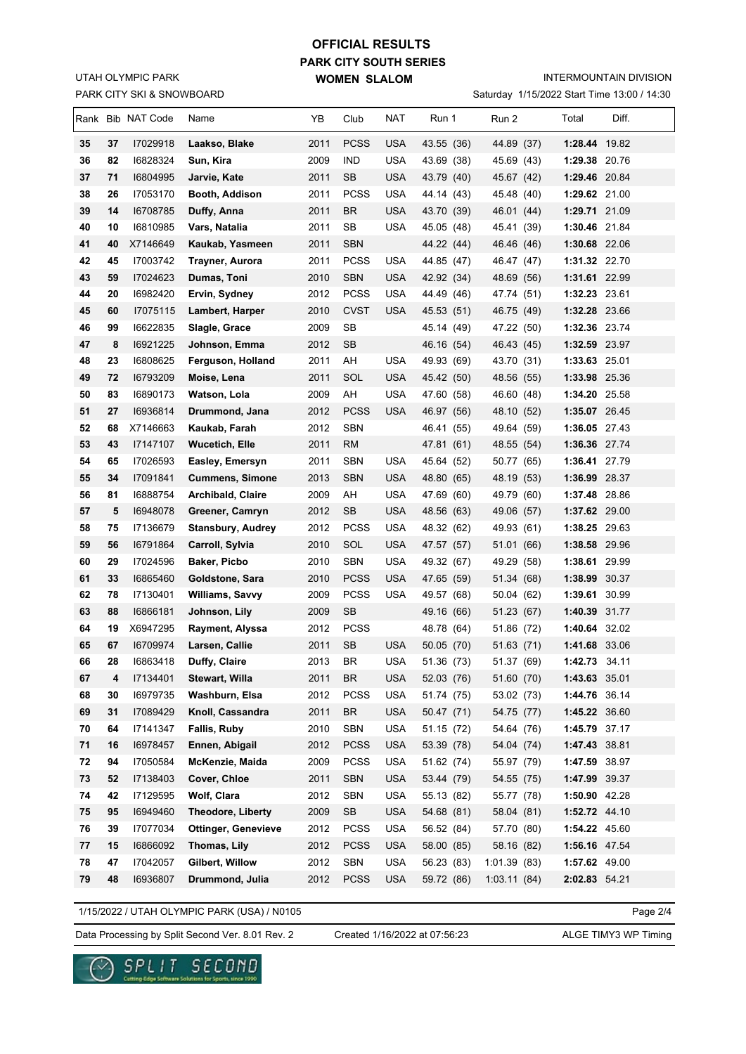## PARK CITY SKI & SNOWBOARD UTAH OLYMPIC PARK

## **PARK CITY SOUTH SERIES WOMEN SLALOM OFFICIAL RESULTS**

INTERMOUNTAIN DIVISION

Saturday 1/15/2022 Start Time 13:00 / 14:30

|    |    | Rank Bib NAT Code | Name                       | YΒ   | Club        | NAT        | Run 1      | Run 2       | Total         | Diff. |
|----|----|-------------------|----------------------------|------|-------------|------------|------------|-------------|---------------|-------|
| 35 | 37 | 17029918          | Laakso, Blake              | 2011 | <b>PCSS</b> | <b>USA</b> | 43.55 (36) | 44.89 (37)  | 1:28.44 19.82 |       |
| 36 | 82 | 16828324          | Sun, Kira                  | 2009 | <b>IND</b>  | <b>USA</b> | 43.69 (38) | 45.69 (43)  | 1:29.38 20.76 |       |
| 37 | 71 | 16804995          | Jarvie, Kate               | 2011 | SB          | USA        | 43.79 (40) | 45.67 (42)  | 1:29.46 20.84 |       |
| 38 | 26 | 17053170          | Booth, Addison             | 2011 | <b>PCSS</b> | <b>USA</b> | 44.14 (43) | 45.48 (40)  | 1:29.62 21.00 |       |
| 39 | 14 | 16708785          | Duffy, Anna                | 2011 | <b>BR</b>   | USA        | 43.70 (39) | 46.01 (44)  | 1:29.71 21.09 |       |
| 40 | 10 | 16810985          | Vars, Natalia              | 2011 | SB          | <b>USA</b> | 45.05 (48) | 45.41 (39)  | 1:30.46 21.84 |       |
| 41 | 40 | X7146649          | Kaukab, Yasmeen            | 2011 | <b>SBN</b>  |            | 44.22 (44) | 46.46 (46)  | 1:30.68 22.06 |       |
| 42 | 45 | 17003742          | Trayner, Aurora            | 2011 | <b>PCSS</b> | <b>USA</b> | 44.85 (47) | 46.47 (47)  | 1:31.32 22.70 |       |
| 43 | 59 | 17024623          | Dumas, Toni                | 2010 | <b>SBN</b>  | <b>USA</b> | 42.92 (34) | 48.69 (56)  | 1:31.61 22.99 |       |
| 44 | 20 | 16982420          | Ervin, Sydney              | 2012 | <b>PCSS</b> | USA        | 44.49 (46) | 47.74 (51)  | 1:32.23 23.61 |       |
| 45 | 60 | 17075115          | Lambert, Harper            | 2010 | <b>CVST</b> | <b>USA</b> | 45.53 (51) | 46.75 (49)  | 1:32.28 23.66 |       |
| 46 | 99 | 16622835          | Slagle, Grace              | 2009 | SB          |            | 45.14 (49) | 47.22 (50)  | 1:32.36 23.74 |       |
| 47 | 8  | 16921225          | Johnson, Emma              | 2012 | <b>SB</b>   |            | 46.16 (54) | 46.43 (45)  | 1:32.59 23.97 |       |
| 48 | 23 | 16808625          | Ferguson, Holland          | 2011 | AH          | <b>USA</b> | 49.93 (69) | 43.70 (31)  | 1:33.63 25.01 |       |
| 49 | 72 | 16793209          | Moise, Lena                | 2011 | SOL         | USA        | 45.42 (50) | 48.56 (55)  | 1:33.98 25.36 |       |
| 50 | 83 | 16890173          | Watson, Lola               | 2009 | AH          | USA        | 47.60 (58) | 46.60 (48)  | 1:34.20 25.58 |       |
| 51 | 27 | 16936814          | Drummond, Jana             | 2012 | <b>PCSS</b> | <b>USA</b> | 46.97 (56) | 48.10 (52)  | 1:35.07 26.45 |       |
| 52 | 68 | X7146663          | Kaukab, Farah              | 2012 | <b>SBN</b>  |            | 46.41 (55) | 49.64 (59)  | 1:36.05 27.43 |       |
| 53 | 43 | 17147107          | Wucetich, Elle             | 2011 | RM          |            | 47.81 (61) | 48.55 (54)  | 1:36.36 27.74 |       |
| 54 | 65 | 17026593          | Easley, Emersyn            | 2011 | SBN         | <b>USA</b> | 45.64 (52) | 50.77 (65)  | 1:36.41 27.79 |       |
| 55 | 34 | 17091841          | <b>Cummens, Simone</b>     | 2013 | <b>SBN</b>  | <b>USA</b> | 48.80 (65) | 48.19 (53)  | 1:36.99 28.37 |       |
| 56 | 81 | 16888754          | <b>Archibald, Claire</b>   | 2009 | AH          | <b>USA</b> | 47.69 (60) | 49.79 (60)  | 1:37.48 28.86 |       |
| 57 | 5  | 16948078          | Greener, Camryn            | 2012 | <b>SB</b>   | <b>USA</b> | 48.56 (63) | 49.06 (57)  | 1:37.62 29.00 |       |
| 58 | 75 | 17136679          | <b>Stansbury, Audrey</b>   | 2012 | <b>PCSS</b> | <b>USA</b> | 48.32 (62) | 49.93 (61)  | 1:38.25 29.63 |       |
| 59 | 56 | 16791864          | Carroll, Sylvia            | 2010 | SOL         | <b>USA</b> | 47.57 (57) | 51.01 (66)  | 1:38.58 29.96 |       |
| 60 | 29 | 17024596          | Baker, Picbo               | 2010 | <b>SBN</b>  | <b>USA</b> | 49.32 (67) | 49.29 (58)  | 1:38.61 29.99 |       |
| 61 | 33 | 16865460          | Goldstone, Sara            | 2010 | <b>PCSS</b> | <b>USA</b> | 47.65 (59) | 51.34 (68)  | 1:38.99 30.37 |       |
| 62 | 78 | 17130401          | Williams, Savvy            | 2009 | <b>PCSS</b> | <b>USA</b> | 49.57 (68) | 50.04 (62)  | 1:39.61 30.99 |       |
| 63 | 88 | 16866181          | Johnson, Lily              | 2009 | <b>SB</b>   |            | 49.16 (66) | 51.23 (67)  | 1:40.39 31.77 |       |
| 64 | 19 | X6947295          | Rayment, Alyssa            | 2012 | <b>PCSS</b> |            | 48.78 (64) | 51.86 (72)  | 1:40.64 32.02 |       |
| 65 | 67 | 16709974          | Larsen, Callie             | 2011 | <b>SB</b>   | <b>USA</b> | 50.05 (70) | 51.63(71)   | 1:41.68 33.06 |       |
| 66 | 28 | 16863418          | Duffy, Claire              | 2013 | BR          | <b>USA</b> | 51.36 (73) | 51.37 (69)  | 1:42.73 34.11 |       |
| 67 | 4  | 17134401          | Stewart, Willa             | 2011 | <b>BR</b>   | <b>USA</b> | 52.03 (76) | 51.60 (70)  | 1:43.63 35.01 |       |
| 68 | 30 | 16979735          | Washburn, Elsa             | 2012 | <b>PCSS</b> | <b>USA</b> | 51.74 (75) | 53.02 (73)  | 1:44.76 36.14 |       |
| 69 | 31 | 17089429          | Knoll, Cassandra           | 2011 | <b>BR</b>   | <b>USA</b> | 50.47 (71) | 54.75 (77)  | 1:45.22 36.60 |       |
| 70 | 64 | 17141347          | Fallis, Ruby               | 2010 | SBN         | <b>USA</b> | 51.15 (72) | 54.64 (76)  | 1:45.79 37.17 |       |
| 71 | 16 | 16978457          | Ennen, Abigail             | 2012 | <b>PCSS</b> | <b>USA</b> | 53.39 (78) | 54.04 (74)  | 1:47.43 38.81 |       |
| 72 | 94 | 17050584          | McKenzie, Maida            | 2009 | <b>PCSS</b> | <b>USA</b> | 51.62 (74) | 55.97 (79)  | 1:47.59 38.97 |       |
| 73 | 52 | 17138403          | Cover, Chloe               | 2011 | <b>SBN</b>  | <b>USA</b> | 53.44 (79) | 54.55 (75)  | 1:47.99 39.37 |       |
| 74 | 42 | I7129595          | Wolf, Clara                | 2012 | SBN         | <b>USA</b> | 55.13 (82) | 55.77 (78)  | 1:50.90 42.28 |       |
| 75 | 95 | 16949460          | Theodore, Liberty          | 2009 | SB          | <b>USA</b> | 54.68 (81) | 58.04 (81)  | 1:52.72 44.10 |       |
| 76 | 39 | 17077034          | <b>Ottinger, Genevieve</b> | 2012 | <b>PCSS</b> | <b>USA</b> | 56.52 (84) | 57.70 (80)  | 1:54.22 45.60 |       |
| 77 | 15 | 16866092          | Thomas, Lily               | 2012 | <b>PCSS</b> | <b>USA</b> | 58.00 (85) | 58.16 (82)  | 1:56.16 47.54 |       |
| 78 | 47 | 17042057          | Gilbert, Willow            | 2012 | SBN         | <b>USA</b> | 56.23 (83) | 1:01.39(83) | 1:57.62 49.00 |       |
| 79 | 48 | 16936807          | Drummond, Julia            | 2012 | <b>PCSS</b> | <b>USA</b> | 59.72 (86) | 1:03.11(84) | 2:02.83 54.21 |       |

1/15/2022 / UTAH OLYMPIC PARK (USA) / N0105

Page 2/4

Data Processing by Split Second Ver. 8.01 Rev. 2 Created 1/16/2022 at 07:56:23 ALGE TIMY3 WP Timing

Created 1/16/2022 at 07:56:23

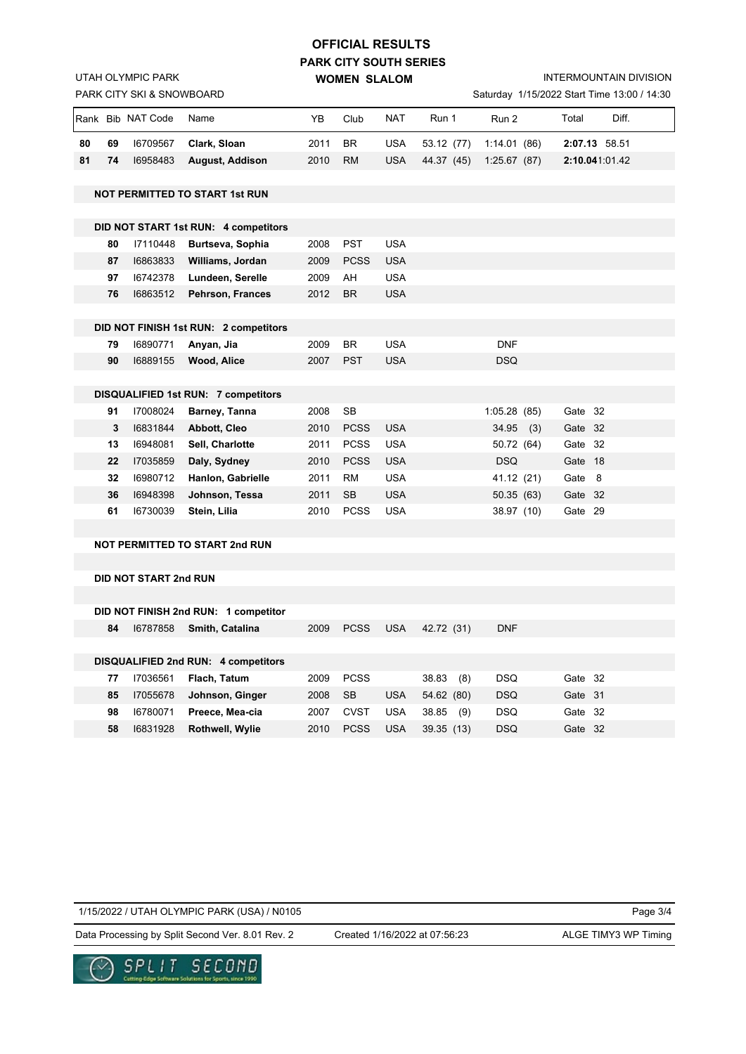## **PARK CITY SOUTH SERIES WOMEN SLALOM OFFICIAL RESULTS**

INTERMOUNTAIN DIVISION

| aturday 1/15/2022 Start Time 13:00 / 14:30 |  |  |
|--------------------------------------------|--|--|
|                                            |  |  |

|    |    | PARK CITY SKI & SNOWBOARD    |                                            |      |             |            |              |             |         | Saturday 1/15/2022 Start Time 13:00 / 14:30 |
|----|----|------------------------------|--------------------------------------------|------|-------------|------------|--------------|-------------|---------|---------------------------------------------|
|    |    | Rank Bib NAT Code            | Name                                       | YΒ   | Club        | <b>NAT</b> | Run 1        | Run 2       | Total   | Diff.                                       |
| 80 | 69 | 16709567                     | Clark, Sloan                               | 2011 | <b>BR</b>   | <b>USA</b> | 53.12 (77)   | 1:14.01(86) |         | 2:07.13 58.51                               |
| 81 | 74 | 16958483                     | <b>August, Addison</b>                     | 2010 | <b>RM</b>   | <b>USA</b> | 44.37 (45)   | 1:25.67(87) |         | 2:10.041.01.42                              |
|    |    |                              | <b>NOT PERMITTED TO START 1st RUN</b>      |      |             |            |              |             |         |                                             |
|    |    |                              |                                            |      |             |            |              |             |         |                                             |
|    |    |                              | DID NOT START 1st RUN: 4 competitors       |      |             |            |              |             |         |                                             |
|    | 80 | 17110448                     | Burtseva, Sophia                           | 2008 | <b>PST</b>  | <b>USA</b> |              |             |         |                                             |
|    | 87 | 16863833                     | Williams, Jordan                           | 2009 | <b>PCSS</b> | <b>USA</b> |              |             |         |                                             |
|    | 97 | 16742378                     | Lundeen, Serelle                           | 2009 | AH          | <b>USA</b> |              |             |         |                                             |
|    | 76 | 16863512                     | Pehrson, Frances                           | 2012 | <b>BR</b>   | <b>USA</b> |              |             |         |                                             |
|    |    |                              | DID NOT FINISH 1st RUN: 2 competitors      |      |             |            |              |             |         |                                             |
|    | 79 | 16890771                     | Anyan, Jia                                 | 2009 | <b>BR</b>   | <b>USA</b> |              | <b>DNF</b>  |         |                                             |
|    | 90 | 16889155                     | Wood, Alice                                | 2007 | <b>PST</b>  | <b>USA</b> |              | <b>DSQ</b>  |         |                                             |
|    |    |                              |                                            |      |             |            |              |             |         |                                             |
|    |    |                              | <b>DISQUALIFIED 1st RUN: 7 competitors</b> |      |             |            |              |             |         |                                             |
|    | 91 | 17008024                     | Barney, Tanna                              | 2008 | SB          |            |              | 1:05.28(85) | Gate 32 |                                             |
|    | 3  | 16831844                     | Abbott, Cleo                               | 2010 | <b>PCSS</b> | <b>USA</b> |              | $34.95$ (3) | Gate 32 |                                             |
|    | 13 | 16948081                     | Sell, Charlotte                            | 2011 | <b>PCSS</b> | <b>USA</b> |              | 50.72 (64)  | Gate 32 |                                             |
|    | 22 | 17035859                     | Daly, Sydney                               | 2010 | <b>PCSS</b> | <b>USA</b> |              | <b>DSQ</b>  | Gate 18 |                                             |
|    | 32 | 16980712                     | Hanlon, Gabrielle                          | 2011 | <b>RM</b>   | <b>USA</b> |              | 41.12 (21)  | Gate 8  |                                             |
|    | 36 | 16948398                     | Johnson, Tessa                             | 2011 | <b>SB</b>   | <b>USA</b> |              | 50.35(63)   | Gate 32 |                                             |
|    | 61 | 16730039                     | Stein, Lilia                               | 2010 | <b>PCSS</b> | <b>USA</b> |              | 38.97 (10)  | Gate 29 |                                             |
|    |    |                              | <b>NOT PERMITTED TO START 2nd RUN</b>      |      |             |            |              |             |         |                                             |
|    |    |                              |                                            |      |             |            |              |             |         |                                             |
|    |    | <b>DID NOT START 2nd RUN</b> |                                            |      |             |            |              |             |         |                                             |
|    |    |                              |                                            |      |             |            |              |             |         |                                             |
|    |    |                              | DID NOT FINISH 2nd RUN: 1 competitor       |      |             |            |              |             |         |                                             |
|    | 84 | 16787858                     | Smith, Catalina                            | 2009 | <b>PCSS</b> | <b>USA</b> | 42.72 (31)   | <b>DNF</b>  |         |                                             |
|    |    |                              |                                            |      |             |            |              |             |         |                                             |
|    |    |                              | DISQUALIFIED 2nd RUN: 4 competitors        |      |             |            |              |             |         |                                             |
|    | 77 | 17036561                     | Flach, Tatum                               | 2009 | <b>PCSS</b> |            | 38.83<br>(8) | <b>DSQ</b>  | Gate 32 |                                             |
|    | 85 | 17055678                     | Johnson, Ginger                            | 2008 | <b>SB</b>   | <b>USA</b> | 54.62 (80)   | <b>DSQ</b>  | Gate 31 |                                             |
|    | 98 | 16780071                     | Preece, Mea-cia                            | 2007 | <b>CVST</b> | <b>USA</b> | 38.85<br>(9) | <b>DSQ</b>  | Gate 32 |                                             |
|    | 58 | 16831928                     | <b>Rothwell, Wylie</b>                     | 2010 | <b>PCSS</b> | <b>USA</b> | 39.35 (13)   | <b>DSQ</b>  | Gate 32 |                                             |

1/15/2022 / UTAH OLYMPIC PARK (USA) / N0105

Page 3/4

Data Processing by Split Second Ver. 8.01 Rev. 2 Created 1/16/2022 at 07:56:23 ALGE TIMY3 WP Timing

Created 1/16/2022 at 07:56:23



UTAH OLYMPIC PARK